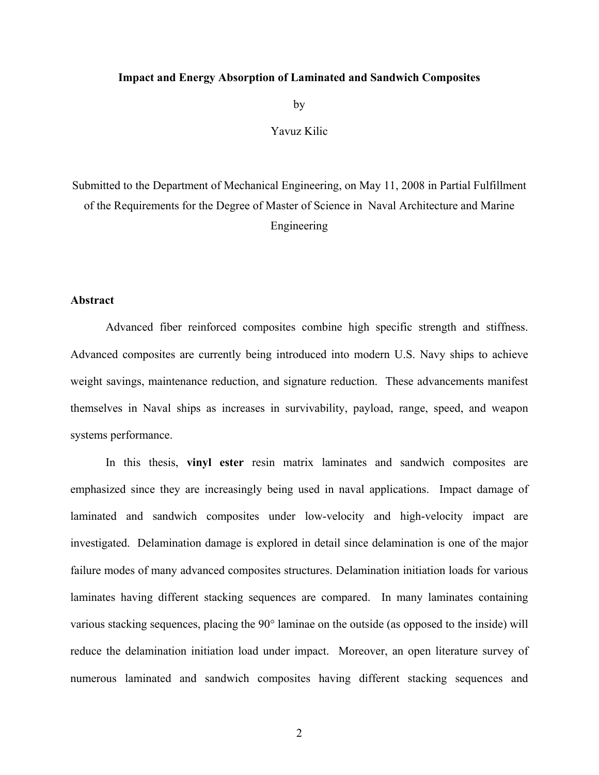## **Impact and Energy Absorption of Laminated and Sandwich Composites**

by

Yavuz Kilic

Submitted to the Department of Mechanical Engineering, on May 11, 2008 in Partial Fulfillment of the Requirements for the Degree of Master of Science in Naval Architecture and Marine Engineering

## **Abstract**

Advanced fiber reinforced composites combine high specific strength and stiffness. Advanced composites are currently being introduced into modern U.S. Navy ships to achieve weight savings, maintenance reduction, and signature reduction. These advancements manifest themselves in Naval ships as increases in survivability, payload, range, speed, and weapon systems performance.

 In this thesis, **vinyl ester** resin matrix laminates and sandwich composites are emphasized since they are increasingly being used in naval applications. Impact damage of laminated and sandwich composites under low-velocity and high-velocity impact are investigated. Delamination damage is explored in detail since delamination is one of the major failure modes of many advanced composites structures. Delamination initiation loads for various laminates having different stacking sequences are compared. In many laminates containing various stacking sequences, placing the 90° laminae on the outside (as opposed to the inside) will reduce the delamination initiation load under impact. Moreover, an open literature survey of numerous laminated and sandwich composites having different stacking sequences and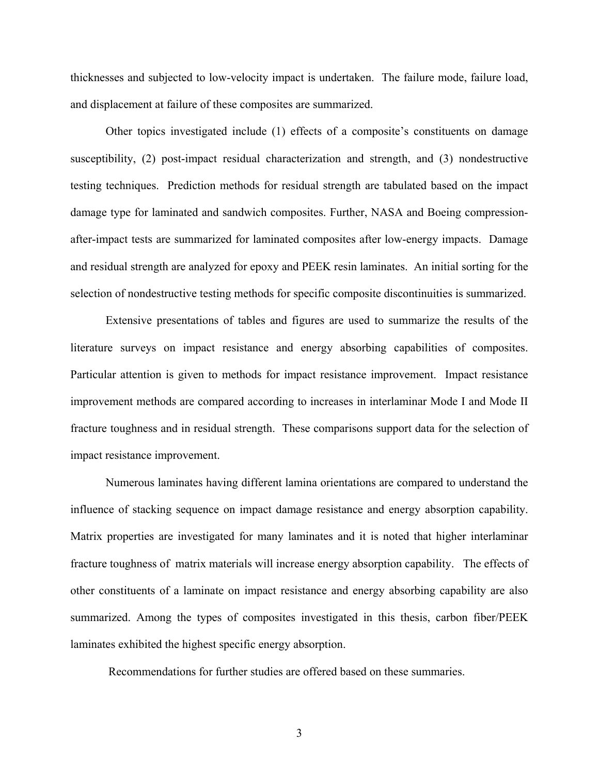thicknesses and subjected to low-velocity impact is undertaken. The failure mode, failure load, and displacement at failure of these composites are summarized.

Other topics investigated include (1) effects of a composite's constituents on damage susceptibility, (2) post-impact residual characterization and strength, and (3) nondestructive testing techniques. Prediction methods for residual strength are tabulated based on the impact damage type for laminated and sandwich composites. Further, NASA and Boeing compressionafter-impact tests are summarized for laminated composites after low-energy impacts. Damage and residual strength are analyzed for epoxy and PEEK resin laminates. An initial sorting for the selection of nondestructive testing methods for specific composite discontinuities is summarized.

Extensive presentations of tables and figures are used to summarize the results of the literature surveys on impact resistance and energy absorbing capabilities of composites. Particular attention is given to methods for impact resistance improvement. Impact resistance improvement methods are compared according to increases in interlaminar Mode I and Mode II fracture toughness and in residual strength. These comparisons support data for the selection of impact resistance improvement.

Numerous laminates having different lamina orientations are compared to understand the influence of stacking sequence on impact damage resistance and energy absorption capability. Matrix properties are investigated for many laminates and it is noted that higher interlaminar fracture toughness of matrix materials will increase energy absorption capability. The effects of other constituents of a laminate on impact resistance and energy absorbing capability are also summarized. Among the types of composites investigated in this thesis, carbon fiber/PEEK laminates exhibited the highest specific energy absorption.

Recommendations for further studies are offered based on these summaries.

3